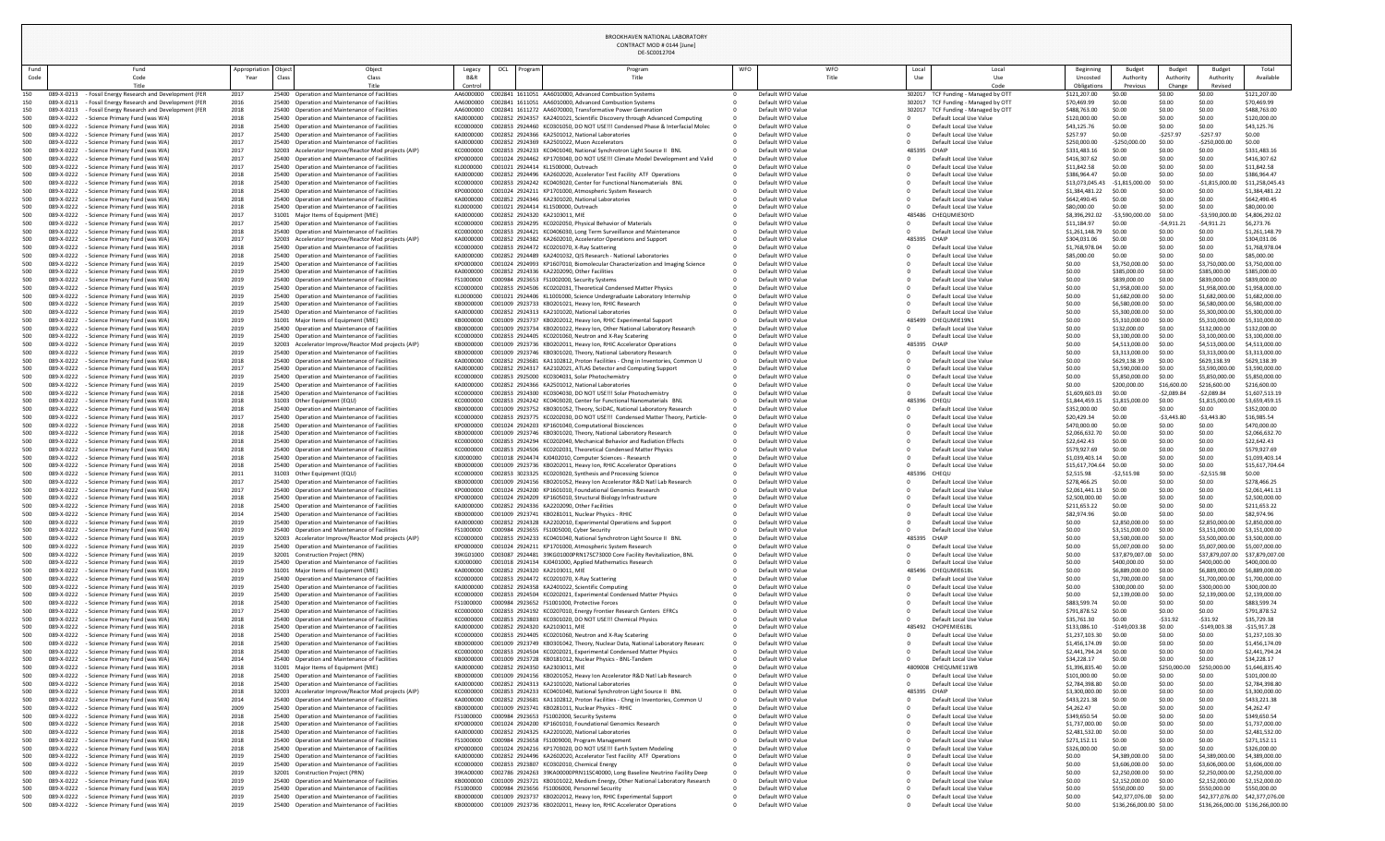|      |                                                                                                                        |                      |                                                                                                       |                           |     |           | DE-SC0012704                                                                                                                                    |     |                                        |            |                        |                                                                |             |                                  |                                        |                            |                                                 |                                   |
|------|------------------------------------------------------------------------------------------------------------------------|----------------------|-------------------------------------------------------------------------------------------------------|---------------------------|-----|-----------|-------------------------------------------------------------------------------------------------------------------------------------------------|-----|----------------------------------------|------------|------------------------|----------------------------------------------------------------|-------------|----------------------------------|----------------------------------------|----------------------------|-------------------------------------------------|-----------------------------------|
| Fund | Fund                                                                                                                   | Appropriation Object | Object                                                                                                | Legacy                    | OCL | ∥ Program | Program                                                                                                                                         | WFO |                                        | <b>WFO</b> | Local                  |                                                                | Local       | Beginning                        | <b>Budget</b>                          | Budget                     | Budget                                          | Total                             |
| Code | Code<br>Title                                                                                                          | Year                 | Class<br>Class<br>Title                                                                               | <b>B&amp;R</b><br>Control |     |           | Title                                                                                                                                           |     |                                        | Title      | Use                    |                                                                | Use<br>Code | Uncosted<br>Obligation           | Authority<br>Previous                  | Authority<br>Change        | Authority<br>Revised                            | Available                         |
|      | - Fossil Energy Research and Development (FER<br>089-X-0213                                                            | 2017                 | 25400 Operation and Maintenance of Facilities                                                         | AA6000000                 |     |           | C002841 1611051 AA6010000, Advanced Combustion Systems                                                                                          |     | Default WFO Value                      |            |                        | 302017 TCF Funding - Managed by OTT                            |             | \$121,207.00                     | \$0.00                                 | \$0.00                     | \$0.00                                          | \$121,207.00                      |
|      | 089-X-0213<br><b>Fossil Energy Research and Development (FER</b>                                                       | 2016                 | 25400 Operation and Maintenance of Facilities                                                         | AA6000000                 |     |           | C002841 1611051 AA6010000, Advanced Combustion Systems                                                                                          |     | Default WFO Value                      |            |                        | 302017 TCF Funding - Managed by OTT                            |             | \$70,469.99                      | \$0.00                                 | \$0.00                     | \$0.00                                          | \$70,469.99                       |
| 500  | 089-X-021.<br><b>Fossil Energy Research and Development (FER</b><br>089-X-022.<br><b>Science Primary Fund (was WA)</b> | 2018<br>2018         | 25400 Operation and Maintenance of Facilities<br>25400 Operation and Maintenance of Facilities        | AA6000000<br>KA0000000    |     |           | C002841 1611272 AA6070000. Transformative Power Generation<br>C002852 2924357 KA2401021, Scientific Discovery through Advanced Computing        |     | Default WFO Value<br>Default WFO Value |            |                        | 302017 TCF Funding - Managed by OTT<br>Default Local Use Value |             | \$488,763.00<br>\$120,000.0      | \$0.00<br>\$0.00                       | \$0.00<br>\$0.00           | \$0.00<br>\$0.00                                | \$488,763.00<br>\$120,000.00      |
| 500  | Science Primary Fund (was WA)<br>089-X-0222                                                                            | 2018                 | 25400 Operation and Maintenance of Facilities                                                         | KC0000000                 |     |           | C002853 2924460 KC0301050, DO NOT USE!!! Condensed Phase & Interfacial Molec                                                                    |     | Default WFO Value                      |            |                        | Default Local Use Value                                        |             | \$43,125.7                       | \$0.00                                 | \$0.00                     | \$0.00                                          | \$43,125.76                       |
| 500  | 089-X-022<br>Science Primary Fund (was WA)                                                                             | 2017                 | 25400 Operation and Maintenance of Facilities                                                         | KA0000000                 |     |           | C002852 2924366 KA2501012, National Laboratories                                                                                                |     | Default WFO Value                      |            |                        | Default Local Use Value                                        |             | \$257.97                         | \$0.00                                 | $-5257.9$                  | $-5257.97$                                      | \$0.00                            |
| 500  | 089-X-0222<br>Science Primary Fund (was WA)<br>Science Primary Fund (was WA)<br>089-X-0222                             | 2017<br>2017         | 25400 Operation and Maintenance of Facilities<br>32003 Accelerator Improve/Reactor Mod projects (AIP) | KA0000000<br>KC0000000    |     |           | C002852 2924369 KA2501022, Muon Accelerators<br>C002853 2924233 KC0401040, National Synchrotron Light Source II BNL                             |     | Default WFO Value<br>Default WFO Value |            | 485395<br><b>CHAIP</b> | Default Local Use Value                                        |             | \$250,000.0<br>\$331,483.1       | $-5250,000.0$<br>\$0.00                | \$0.00<br>\$0.00           | $-5250,000.$<br>\$0.00                          | \$0.00<br>\$331,483.16            |
| 500  | 089-X-022.<br><b>Science Primary Fund (was WA)</b>                                                                     | 2017                 | 25400 Operation and Maintenance of Facilities                                                         | KP0000000                 |     |           | C001024 2924462 KP1703040, DO NOT USE!!! Climate Model Development and Valid                                                                    |     | Default WFO Value                      |            |                        | Default Local Use Value                                        |             | \$416,307.62                     | \$0.00                                 | \$0.00                     | \$0.00                                          | \$416,307.62                      |
| 500  | Science Primary Fund (was WA)<br>089-X-0222                                                                            | 2017                 | 25400 Operation and Maintenance of Facilities                                                         | KL0000000                 |     |           | C001021 2924414 KL1500000, Outreach                                                                                                             |     | Default WFO Value                      |            |                        | Default Local Use Value                                        |             | \$11,842.58                      | \$0.00                                 | \$0.00                     | \$0.00                                          | \$11,842.58                       |
| 500  | Science Primary Fund (was WA)<br>089-X-022<br>089-X-0222<br>Science Primary Fund (was WA)                              | 2018<br>2018         | 25400 Operation and Maintenance of Facilities<br>25400 Operation and Maintenance of Facilities        | KA0000000<br>KC0000000    |     |           | C002852 2924496 KA2602020, Accelerator Test Facility ATF Operations<br>C002853 2924242 KC0403020, Center for Functional Nanomaterials BNL       |     | Default WFO Value<br>Default WFO Value |            |                        | Default Local Use Value<br>Default Local Use Value             |             | \$386,964.47<br>\$13,073,045.43  | \$0.00<br>$-51,815,000.00$             | \$0.00<br>\$0.00           | \$0.00                                          | \$386,964.47                      |
| 500  | 089-X-0222<br><b>Science Primary Fund (was WA)</b>                                                                     | 2018                 | 25400 Operation and Maintenance of Facilities                                                         | KP0000000                 |     |           | C001024 2924211 KP1701000, Atmospheric System Research                                                                                          |     | Default WFO Value                      |            |                        | Default Local Use Value                                        |             | \$1,384,481.22                   | \$0.00                                 | \$0.00                     | $-$1,815,000.$<br>\$0.00                        | \$11,258,045.43<br>\$1,384,481.22 |
|      | 089-X-022<br>Science Primary Fund (was WA)                                                                             | 2018                 | 25400 Operation and Maintenance of Facilities                                                         | KA0000000                 |     |           | C002852 2924346 KA2301020, National Laboratories                                                                                                |     | Default WFO Value                      |            |                        | Default Local Use Value                                        |             | \$642,490.45                     | \$0.00                                 | \$0.00                     | \$0.00                                          | \$642,490.45                      |
|      | 089-X-0222<br>Science Primary Fund (was WA)                                                                            | 2018                 | 25400 Operation and Maintenance of Facilities                                                         | KL0000000                 |     |           | C001021 2924414 KL1500000, Outreach                                                                                                             |     | Default WFO Value                      |            |                        | Default Local Use Value                                        |             | \$80,000.00                      | \$0.00                                 | \$0.00                     | \$0.00                                          | \$80,000.00                       |
| 500  | Science Primary Fund (was WA)<br>089-X-022<br>089-X-022.<br>Science Primary Fund (was WA)                              | 2017<br>2017         | 31001 Major Items of Equipment (MIE)<br>25400 Operation and Maintenance of Facilities                 | KA0000000<br>KC000000     |     |           | C002852 2924320 KA2103011, MIE<br>C002853 2924295 KC0202050, Physical Behavior of Materials                                                     |     | Default WFO Value<br>Default WFO Value |            | 485486                 | CHEQUMIE30YD<br>Default Local Use Value                        |             | \$8,396,292.02<br>\$11,184.97    | $-53,590,000.00$<br>\$0.00             | \$0.00<br>$-54,911.$       | $-53,590,000.$<br>-\$4,911.21                   | \$4,806,292.02<br>\$6,273.76      |
|      | 089-X-022.<br><b>Science Primary Fund (was WA)</b>                                                                     | 2018                 | 25400 Operation and Maintenance of Facilities                                                         | KC0000000                 |     |           | C002853 2924421 KC0406030, Long Term Surveillance and Maintenance                                                                               |     | Default WFO Value                      |            |                        | Default Local Use Value                                        |             | \$1,261,148.7                    | \$0.00                                 | \$0.00                     | \$0.00                                          | \$1,261,148.79                    |
|      | Science Primary Fund (was WA)<br>089-X-022.                                                                            | 2017                 | 32003 Accelerator Improve/Reactor Mod projects (AIP)                                                  | KA0000000                 |     |           | C002852 2924382 KA2602010, Accelerator Operations and Support                                                                                   |     | Default WFO Value                      |            | 485395<br><b>CHAIP</b> |                                                                |             | \$304,031.06                     | \$0.00                                 | \$0.00                     | \$0.00                                          | \$304,031.06                      |
| 500  | 089-X-0222<br>Science Primary Fund (was WA)<br>089-X-0222<br>Science Primary Fund (was WA)                             | 2018<br>2018         | 25400 Operation and Maintenance of Facilities<br>25400 Operation and Maintenance of Facilities        | KC0000000<br>KA0000000    |     |           | C002853 2924472 KC0201070, X-Ray Scattering<br>C002852 2924489 KA2401032, QIS Research - National Laboratories                                  |     | Default WFO Value<br>Default WFO Value |            |                        | Default Local Use Value<br>Default Local Use Value             |             | \$1,768,978.04<br>\$85,000.0     | \$0.00<br>\$0.00                       | \$0.00<br>\$0.00           | \$0.00<br>\$0.00                                | \$1,768,978.04<br>\$85,000.00     |
|      | 089-X-022.<br><b>Science Primary Fund (was WA)</b>                                                                     | 2019                 | 25400 Operation and Maintenance of Facilities                                                         | KP0000000                 |     |           | C001024 2924993 KP1607010, Biomolecular Characterization and Imaging Science                                                                    |     | Default WFO Value                      |            |                        | Default Local Use Value                                        |             | \$0.00                           | \$3,750,000.00                         | \$0.00                     | \$3,750,000.0                                   | \$3,750,000.00                    |
|      | 089-X-0222<br><b>Science Primary Fund (was WA)</b>                                                                     | 2019                 | 25400 Operation and Maintenance of Facilities                                                         | KA0000000                 |     |           | C002852 2924336 KA2202090, Other Facilities                                                                                                     |     | Default WFO Value                      |            |                        | Default Local Use Value                                        |             | \$0.00                           | \$385,000.00                           | \$0.00                     | \$385,000.0                                     | \$385,000.00                      |
| 500  | 089-X-022<br>Science Primary Fund (was WA)<br>089-X-0222<br>Science Primary Fund (was WA)                              | 2019<br>2019         | 25400 Operation and Maintenance of Facilities<br>25400 Operation and Maintenance of Facilities        | FS1000000<br>KC0000000    |     |           | C000984 2923653 FS1002000, Security Systems<br>C002853 2924506 KC0202031, Theoretical Condensed Matter Physics                                  |     | Default WFO Value<br>Default WFO Value |            |                        | Default Local Use Value<br>Default Local Use Value             |             | \$0.00<br>\$0.00                 | \$839,000.00<br>\$1,958,000.00         | \$0.00<br>\$0.00           | \$839,000.00<br>\$1,958,000.00                  | \$839,000.00<br>\$1,958,000.00    |
| 500  | 089-X-0222<br>- Science Primary Fund (was WA)                                                                          | 2019                 | 25400 Operation and Maintenance of Facilities                                                         | KL0000000                 |     |           | C001021 2924406 KL1001000, Science Undergraduate Laboratory Internship                                                                          |     | Default WFO Value                      |            |                        | Default Local Use Value                                        |             | \$0.00                           | \$1,682,000.00                         | \$0.00                     | \$1,682,000.00                                  | \$1,682,000.00                    |
|      | Science Primary Fund (was WA)<br>089-X-0222                                                                            | 2019                 | 25400 Operation and Maintenance of Facilities                                                         |                           |     |           | C001009 2923733 KB0201021, Heavy Ion, RHIC Research                                                                                             |     | Default WFO Value                      |            |                        | Default Local Use Value                                        |             | \$0.00                           | \$6,580,000.00                         | \$0.00                     | \$6,580,000.00                                  | \$6,580,000.00                    |
|      | 089-X-0222<br>- Science Primary Fund (was WA)<br>089-X-0222<br><b>Science Primary Fund (was WA)</b>                    | 2019<br>2019         | 25400 Operation and Maintenance of Facilities<br>31001 Major Items of Equipment (MIE)                 | KA0000000<br>KB0000000    |     |           | C002852 2924313 KA2101020, National Laboratories<br>C001009 2923737 KB0202012, Heavy Ion, RHIC Experimental Support                             |     | Default WFO Value<br>Default WFO Value |            | 485499                 | Default Local Use Value<br>CHEQUMIE19N1                        |             | \$0.00<br>\$0.00                 | \$5,300,000.00<br>\$5,310,000.00       | \$0.00<br>\$0.00           | \$5,300,000.00<br>\$5,310,000.00                | \$5,300,000.00<br>\$5,310,000.00  |
|      | 089-X-0222<br><b>Science Primary Fund (was WA)</b>                                                                     | 2019                 | 25400 Operation and Maintenance of Facilities                                                         | KB0000000                 |     |           | C001009 2923734 KB0201022, Heavy Ion, Other National Laboratory Research                                                                        |     | Default WFO Value                      |            |                        | Default Local Use Value                                        |             | \$0.00                           | \$132,000.00                           | \$0.00                     | \$132,000.00                                    | \$132,000.00                      |
|      | 089-X-0222<br><b>Science Primary Fund (was WA)</b>                                                                     | 2019                 | 25400 Operation and Maintenance of Facilities                                                         | KC0000000                 |     |           | C002853 2924405 KC0201060, Neutron and X-Ray Scatering                                                                                          |     | Default WFO Value                      |            |                        | Default Local Use Value                                        |             | \$0.00                           | \$3,100,000.00                         | \$0.00                     | \$3,100,000.00                                  | \$3,100,000.00                    |
| 500  | 089-X-022.<br><b>Science Primary Fund (was WA)</b>                                                                     | 2019                 | 32003 Accelerator Improve/Reactor Mod projects (AIP)                                                  | KB0000000                 |     |           | C001009 2923736 KB0202011, Heavy Ion, RHIC Accelerator Operations                                                                               |     | Default WFO Value                      |            | 485395 CHAIP           |                                                                |             | \$0.00                           | \$4,513,000.00                         | \$0.00                     | \$4,513,000.00                                  | \$4,513,000.00                    |
|      | 089-X-0222<br><b>Science Primary Fund (was WA)</b><br>089-X-0222<br><b>Science Primary Fund (was WA)</b>               | 2019<br>2018         | 25400 Operation and Maintenance of Facilities<br>25400 Operation and Maintenance of Facilities        | KB0000000<br>KA0000000    |     |           | C001009 2923746 KB0301020, Theory, National Laboratory Research<br>C002852 2923681 KA1102812, Proton Facilities - Chng in Inventories, Common U |     | Default WFO Value<br>Default WFO Value |            |                        | Default Local Use Value<br>Default Local Use Value             |             | \$0.00<br>\$0.00                 | \$3,313,000.00<br>\$629,138.39         | \$0.00<br>\$0.00           | \$3,313,000.00<br>\$629,138.39                  | \$3,313,000.00<br>\$629,138.39    |
|      | 089-X-0222<br><b>Science Primary Fund (was WA)</b>                                                                     | 2017                 | 25400 Operation and Maintenance of Facilities                                                         | KA0000000                 |     |           | C002852 2924317 KA2102021, ATLAS Detector and Computing Support                                                                                 |     | Default WFO Value                      |            |                        | Default Local Use Value                                        |             | \$0.00                           | \$3,590,000.00                         | \$0.00                     | \$3,590,000.00                                  | \$3,590,000.00                    |
|      | 089-X-0222<br><b>Science Primary Fund (was WA)</b>                                                                     | 2019                 | 25400 Operation and Maintenance of Facilities                                                         | KC0000000                 |     |           | C002853 2925000 KC0304031, Solar Photochemistry                                                                                                 |     | Default WFO Value                      |            |                        | Default Local Use Value                                        |             | \$0.00                           | \$5,850,000.00                         | \$0.00                     | \$5,850,000.00                                  | \$5,850,000.00                    |
|      | 089-X-0222<br>Science Primary Fund (was WA)<br>089-X-0222<br><b>Science Primary Fund (was WA)</b>                      | 2019<br>2018         | 25400 Operation and Maintenance of Facilities<br>25400 Operation and Maintenance of Facilities        | KA0000000<br>KC0000000    |     |           | C002852 2924366 KA2501012, National Laboratories<br>C002853 2924300 KC0304030, DO NOT USE!!! Solar Photochemistry                               |     | Default WFO Value<br>Default WFO Value |            |                        | Default Local Use Value<br>Default Local Use Value             |             | \$0.00<br>\$1,609,603.03         | \$200,000.00<br>\$0.00                 | \$16,600.0<br>$-52,089.84$ | \$216,600.00<br>-\$2,089.84                     | \$216,600.00<br>\$1,607,513.19    |
|      | 089-X-0222<br>- Science Primary Fund (was WA)                                                                          | 2018                 | 31003 Other Equipment (EQU)                                                                           | KC0000000                 |     |           | C002853 2924242 KC0403020, Center for Functional Nanomaterials BNL                                                                              |     | Default WFO Value                      |            | 485396 CHEQU           |                                                                |             | \$1,844,459.15                   | \$1,815,000.00                         | \$0.00                     | \$1,815,000.0                                   | \$3,659,459.15                    |
|      | 089-X-022.<br><b>Science Primary Fund (was WA)</b>                                                                     | 2018                 | 25400 Operation and Maintenance of Facilities                                                         | KB0000000                 |     |           | C001009 2923752 KB0301052, Theory, SciDAC, National Laboratory Research                                                                         |     | Default WFO Value                      |            |                        | Default Local Use Value                                        |             | \$352,000.00                     | \$0.00                                 | \$0.00                     | \$0.00                                          | \$352,000.00                      |
|      | 089-X-0222<br><b>Science Primary Fund (was WA)</b><br>089-X-0222<br><b>Science Primary Fund (was WA)</b>               | 2017<br>2018         | 25400 Operation and Maintenance of Facilities<br>25400 Operation and Maintenance of Facilities        | KC0000000<br>KP0000000    |     |           | C002853 2923775 KC0202030, DO NOT USE!!! Condensed Matter Theory, Particle-<br>C001024 2924203 KP1601040, Computational Biosciences             |     | Default WFO Value<br>Default WFO Value |            |                        | Default Local Use Value<br>Default Local Use Value             |             | \$20,429.34<br>\$470,000.00      | \$0.00<br>\$0.00                       | $-53,443.$<br>\$0.00       | -\$3,443.80<br>\$0.00                           | \$16,985.54<br>\$470,000.00       |
| 500  | 089-X-0222<br><b>Science Primary Fund (was WA)</b>                                                                     | 2018                 | 25400 Operation and Maintenance of Facilities                                                         | KB0000000                 |     |           | C001009 2923746 KB0301020, Theory, National Laboratory Research                                                                                 |     | Default WFO Value                      |            |                        | Default Local Use Value                                        |             | \$2,066,632.70                   | \$0.00                                 | \$0.00                     | \$0.00                                          | \$2,066,632.70                    |
|      | 089-X-0222<br>- Science Primary Fund (was WA)                                                                          | 2018                 | 25400 Operation and Maintenance of Facilities                                                         | KC0000000                 |     |           | C002853 2924294 KC0202040, Mechanical Behavior and Radiation Effects                                                                            |     | Default WFO Value                      |            |                        | Default Local Use Value                                        |             | \$22,642.43                      | \$0.00                                 | \$0.00                     | \$0.00                                          | \$22,642.43                       |
|      | 089-X-022.<br>Science Primary Fund (was WA)<br>089-X-0222<br><b>Science Primary Fund (was WA)</b>                      | 2018<br>2018         | 25400 Operation and Maintenance of Facilities<br>25400 Operation and Maintenance of Facilities        | KC0000000<br>KJ0000000    |     |           | C002853 2924506 KC0202031, Theoretical Condensed Matter Physics<br>C001018 2924474 KJ0402010, Computer Sciences - Research                      |     | Default WFO Value<br>Default WFO Value |            |                        | Default Local Use Value<br>Default Local Use Value             |             | \$579,927.69<br>\$1,039,403.14   | \$0.00<br>\$0.00                       | \$0.00<br>\$0.00           | \$0.00<br>\$0.00                                | \$579,927.69<br>\$1,039,403.14    |
|      | 089-X-0222<br><b>Science Primary Fund (was WA)</b>                                                                     | 2018                 | 25400 Operation and Maintenance of Facilities                                                         | KB0000000                 |     |           | C001009 2923736 KB0202011, Heavy Ion, RHIC Accelerator Operations                                                                               |     | Default WFO Value                      |            |                        | Default Local Use Value                                        |             | \$15,617,704.64 \$0.00           |                                        | \$0.00                     | \$0.00                                          | \$15,617,704.64                   |
| 500  | 089-X-0222<br><b>Science Primary Fund (was WA)</b>                                                                     | 2011                 | 31003 Other Equipment (EQU)                                                                           | KC0000000                 |     |           | C002853 3023325 KC0203020, Synthesis and Processing Science                                                                                     |     | Default WFO Value                      |            | 485396 CHEQU           |                                                                |             | \$2,515.98                       | $-52,515.$                             | \$0.00                     | -\$2,515.9                                      | \$0.00                            |
|      | 089-X-0222<br><b>Science Primary Fund (was WA)</b><br>089-X-0222                                                       | 2017<br>2017         | 25400 Operation and Maintenance of Facilities<br>25400 Operation and Maintenance of Facilities        | KB0000000<br>KP0000000    |     |           | C001009 2924156 KB0201052, Heavy Ion Accelerator R&D Natl Lab Research<br>C001024 2924200 KP1601010, Foundational Genomics Research             |     | Default WFO Value<br>Default WFO Value |            |                        | Default Local Use Value                                        |             | \$278,466.25                     | \$0.00<br>\$0.00                       | \$0.00<br>\$0.00           | \$0.00<br>\$0.00                                | \$278,466.25                      |
|      | Science Primary Fund (was WA)<br>089-X-0222<br><b>Science Primary Fund (was WA)</b>                                    | 2018                 | 25400 Operation and Maintenance of Facilities                                                         | KP0000000                 |     |           | C001024 2924209 KP1605010, Structural Biology Infrastructure                                                                                    |     | Default WFO Value                      |            |                        | Default Local Use Value<br>Default Local Use Value             |             | \$2,061,441.13<br>\$2,500,000.00 | \$0.00                                 | \$0.00                     | \$0.00                                          | \$2,061,441.13<br>\$2,500,000.00  |
|      | 089-X-0222<br><b>Science Primary Fund (was WA)</b>                                                                     | 2018                 | 25400 Operation and Maintenance of Facilities                                                         | KA0000000                 |     |           | C002852 2924336 KA2202090, Other Facilities                                                                                                     |     | Default WFO Value                      |            |                        | Default Local Use Value                                        |             | \$211,653.22                     | \$0.00                                 | \$0.00                     | \$0.00                                          | \$211,653.22                      |
|      | 089-X-0222<br><b>Science Primary Fund (was WA)</b>                                                                     | 2014                 | 25400 Operation and Maintenance of Facilities                                                         | KB0000000                 |     |           | C001009 2923741 KB0281011, Nuclear Physics - RHIC                                                                                               |     | Default WFO Value                      |            |                        | Default Local Use Value                                        |             | \$82,974.96                      | \$0.00                                 | \$0.00                     | \$0.00                                          | \$82,974.96                       |
|      | 089-X-0222<br><b>Science Primary Fund (was WA)</b><br>089-X-0222<br><b>Science Primary Fund (was WA)</b>               | 2019<br>2019         | 25400 Operation and Maintenance of Facilities<br>25400 Operation and Maintenance of Facilities        | KA0000000<br>FS1000000    |     |           | C002852 2924328 KA2202010, Experimental Operations and Support<br>C000984 2923655 FS1005000, Cyber Security                                     |     | Default WFO Value<br>Default WFO Value |            |                        | Default Local Use Value<br>Default Local Use Value             |             | \$0.00<br>\$0.00                 | \$2,850,000.00<br>\$3,151,000.00       | \$0.00<br>\$0.00           | \$2,850,000.00<br>\$3,151,000.00                | \$2,850,000.00<br>\$3,151,000.00  |
|      | 089-X-0222<br><b>Science Primary Fund (was WA)</b>                                                                     | 2019                 | 32003 Accelerator Improve/Reactor Mod projects (AIP)                                                  | KC0000000                 |     |           | C002853 2924233 KC0401040, National Synchrotron Light Source II BNL                                                                             |     | Default WFO Value                      |            | 485395 CHAIP           |                                                                |             | \$0.00                           | \$3,500,000.00                         | \$0.00                     | \$3,500,000.00                                  | \$3,500,000.00                    |
|      | 089-X-0222<br>- Science Primary Fund (was WA)                                                                          | 2019                 | 25400 Operation and Maintenance of Facilities                                                         | KP0000000                 |     |           | C001024 2924211 KP1701000, Atmospheric System Research                                                                                          |     | Default WFO Value                      |            |                        | Default Local Use Value                                        |             | \$0.00                           | \$5,007,000.00                         | \$0.00                     | \$5,007,000.00                                  | \$5,007,000.00                    |
|      | - Science Primary Fund (was WA)<br>089-X-0222<br><b>Science Primary Fund (was WA)</b>                                  | 2019                 | 32001 Construction Project (PRN)<br>25400 Operation and Maintenance of Facilities                     | KJ0000000                 |     |           | C003087 2924481 39KG01000PRN17SC73000 Core Facility Revitalization, BNL<br>C001018 2924134 KJ0401000, Applied Mathematics Research              |     | Default WFO Value<br>Default WFO Value |            |                        | Default Local Use Value<br>Default Local Use Value             |             | \$0.00                           | \$37,879,007.00 \$0.00<br>\$400,000.00 | \$0.00                     | \$37,879,007.00 \$37,879,007.00<br>\$400,000.00 | \$400,000.00                      |
|      | 089-X-0222<br><b>Science Primary Fund (was WA)</b>                                                                     | 2019                 | 31001 Major Items of Equipment (MIE)                                                                  | KA0000000                 |     |           | C002852 2924320 KA2103011, MIE                                                                                                                  |     | Default WFO Value                      |            |                        | 485496 CHEQUMIE61BL                                            |             | \$0.00                           | \$6,889,000.00                         | \$0.00                     | \$6,889,000.00                                  | \$6,889,000.00                    |
|      | 089-X-0222<br><b>Science Primary Fund (was WA)</b>                                                                     | 2019                 | 25400 Operation and Maintenance of Facilities                                                         | KC0000000<br>KA0000000    |     |           | C002853 2924472 KC0201070, X-Ray Scattering<br>C002852 2924358 KA2401022, Scientific Computing                                                  |     | Default WFO Value                      |            |                        | Default Local Use Value                                        |             | \$0.00                           | \$1,700,000.00                         | \$0.00                     | \$1,700,000.00<br>\$300,000.00                  | \$1,700,000.00                    |
|      | 089-X-0222<br><b>Science Primary Fund (was WA)</b><br>089-X-022.<br><b>Science Primary Fund (was WA)</b>               | 2019<br>2019         | 25400 Operation and Maintenance of Facilities<br>25400 Operation and Maintenance of Facilities        | KC0000000                 |     |           | C002853 2924504 KC0202021, Experimental Condensed Matter Physics                                                                                |     | Default WFO Value<br>Default WFO Value |            |                        | Default Local Use Value<br>Default Local Use Value             |             | \$0.00<br>\$0.00                 | \$300,000.00<br>\$2,139,000.00         | \$0.00<br>\$0.00           | \$2,139,000.                                    | \$300,000.00<br>\$2,139,000.00    |
|      | 089-X-0222<br><b>Science Primary Fund (was WA)</b>                                                                     | 2018                 | 25400 Operation and Maintenance of Facilities                                                         | FS1000000                 |     |           | C000984 2923652 FS1001000, Protective Forces                                                                                                    |     | Default WFO Value                      |            |                        | Default Local Use Value                                        |             | \$883,599.                       | \$0.00                                 | \$0.00                     | \$0.00                                          | \$883,599.74                      |
|      | 089-X-0222<br><b>Science Primary Fund (was WA)</b>                                                                     | 2017                 | 25400 Operation and Maintenance of Facilities                                                         | KC0000000                 |     |           | C002853 2924192 KC0207010, Energy Frontier Research Centers EFRCs                                                                               |     | Default WFO Value                      |            |                        | Default Local Use Value                                        |             | \$791,878.52                     | \$0.00                                 | \$0.00                     | \$0.00                                          | \$791,878.52                      |
|      | 089-X-0222<br><b>Science Primary Fund (was WA)</b><br>089-X-0222<br><b>Science Primary Fund (was WA)</b>               | 2018<br>2018         | 25400 Operation and Maintenance of Facilities<br>25400 Operation and Maintenance of Facilities        | KC0000000<br>KA0000000    |     |           | C002853 2923803 KC0301020, DO NOT USE!!! Chemical Physics<br>C002852 2924320 KA2103011, MIE                                                     |     | Default WFO Value<br>Default WFO Value |            | 485492                 | Default Local Use Value<br>CHOPEMIE61BL                        |             | \$35,761.30<br>\$133,086.10      | \$0.00<br>$-$149,003.3$                | $-531.92$<br>\$0.00        | $-531.92$<br>$-5149,003$                        | \$35,729.38<br>$-$15,917.28$      |
|      | 089-X-0222<br><b>Science Primary Fund (was WA)</b>                                                                     | 2018                 | 25400 Operation and Maintenance of Facilities                                                         | KC0000000                 |     |           | C002853 2924405 KC0201060, Neutron and X-Ray Scatering                                                                                          |     | Default WFO Value                      |            |                        | Default Local Use Value                                        |             | \$1,237,103.30                   | \$0.00                                 | \$0.00                     | \$0.00                                          | \$1,237,103.30                    |
|      | 089-X-0222<br>Science Primary Fund (was WA)                                                                            | 2018                 | 25400 Operation and Maintenance of Facilities                                                         | KB0000000                 |     |           | C001009 2923749 KB0301042, Theory, Nuclear Data, National Laboratory Researc                                                                    |     | Default WFO Value                      |            |                        | Default Local Use Value                                        |             | \$1,456,174.09                   | \$0.00                                 | \$0.00                     | \$0.00                                          | \$1,456,174.09                    |
|      | 089-X-0222<br><b>Science Primary Fund (was WA)</b><br>089-X-022.<br><b>Science Primary Fund (was WA)</b>               | 2018<br>2014         | 25400 Operation and Maintenance of Facilities<br>25400 Operation and Maintenance of Facilities        | KC0000000<br>KB0000000    |     |           | C002853 2924504 KC0202021, Experimental Condensed Matter Physics<br>C001009 2923728 KB0181012, Nuclear Physics - BNL-Tandem                     |     | Default WFO Value<br>Default WFO Value |            |                        | Default Local Use Value<br>Default Local Use Value             |             | \$2,441,794.24<br>\$34,228.17    | \$0.00<br>\$0.00                       | \$0.00<br>\$0.00           | \$0.00<br>\$0.00                                | \$2,441,794.24<br>\$34,228.17     |
|      | 089-X-0222<br><b>Science Primary Fund (was WA)</b>                                                                     | 2018                 | 31001 Major Items of Equipment (MIE)                                                                  | KA0000000                 |     |           | C002852 2924350 KA2303011, MIE                                                                                                                  |     | Default WFO Value                      |            |                        | 4809008 CHEQUMIE11WB                                           |             | \$1,396,835.40                   | \$0.00                                 | \$250,000.                 | \$250,000.0                                     | \$1,646,835.40                    |
|      | 089-X-0222<br><b>Science Primary Fund (was WA)</b>                                                                     | 2018                 | 25400 Operation and Maintenance of Facilities                                                         | KB0000000                 |     |           | C001009 2924156 KB0201052, Heavy Ion Accelerator R&D Natl Lab Research                                                                          |     | Default WFO Value                      |            |                        | Default Local Use Value                                        |             | \$101,000.00                     | \$0.00                                 | \$0.00                     | \$0.00                                          | \$101,000.00                      |
|      | 089-X-0222<br><b>Science Primary Fund (was WA)</b><br>089-X-0222<br><b>Science Primary Fund (was WA)</b>               | 2018<br>2018         | 25400 Operation and Maintenance of Facilities<br>32003 Accelerator Improve/Reactor Mod projects (AIP) | KA0000000<br>KC0000000    |     |           | C002852 2924313 KA2101020, National Laboratories<br>C002853 2924233 KC0401040, National Synchrotron Light Source II BNL                         |     | Default WFO Value<br>Default WFO Value |            | 485395 CHAIP           | Default Local Use Value                                        |             | \$2,784,398.80<br>\$3,300,000.00 | \$0.00<br>\$0.00                       | \$0.00<br>\$0.00           | \$0.00<br>\$0.00                                | \$2,784,398.80<br>\$3,300,000.00  |
|      | 089-X-0222<br><b>Science Primary Fund (was WA)</b>                                                                     | 2014                 | 25400 Operation and Maintenance of Facilities                                                         | KA0000000                 |     |           | C002852 2923681 KA1102812, Proton Facilities - Chng in Inventories, Common U                                                                    |     | Default WFO Value                      |            |                        | Default Local Use Value                                        |             | \$433,221.38                     | \$0.00                                 | \$0.00                     | \$0.00                                          | \$433,221.38                      |
|      | 089-X-0222<br><b>Science Primary Fund (was WA)</b>                                                                     | 2009                 | 25400 Operation and Maintenance of Facilities                                                         | KB0000000                 |     |           | C001009 2923741 KB0281011, Nuclear Physics - RHIC                                                                                               |     | Default WFO Value                      |            |                        | Default Local Use Value                                        |             | \$4,262.47                       | \$0.00                                 | \$0.00                     | \$0.00                                          | \$4,262.47                        |
|      | 089-X-0222<br><b>Science Primary Fund (was WA)</b><br>089-X-0222<br><b>Science Primary Fund (was WA)</b>               | 2018<br>2018         | 25400 Operation and Maintenance of Facilities<br>25400 Operation and Maintenance of Facilities        | FS1000000<br>KP0000000    |     |           | C000984 2923653 FS1002000, Security Systems<br>C001024 2924200 KP1601010, Foundational Genomics Research                                        |     | Default WFO Value<br>Default WFO Value |            |                        | Default Local Use Value<br>Default Local Use Value             |             | \$349,650.54<br>\$1,737,000.00   | \$0.00<br>\$0.00                       | \$0.00<br>\$0.00           | \$0.00<br>\$0.00                                | \$349,650.54<br>\$1,737,000.00    |
| 500  | 089-X-0222<br><b>Science Primary Fund (was WA)</b>                                                                     | 2018                 | 25400 Operation and Maintenance of Facilities                                                         | KA0000000                 |     |           | C002852 2924325 KA2201020, National Laboratories                                                                                                |     | Default WFO Value                      |            |                        | Default Local Use Value                                        |             | \$2,481,532.00                   | \$0.00                                 | \$0.00                     | \$0.00                                          | \$2,481,532.00                    |
|      | 089-X-0222<br><b>Science Primary Fund (was WA)</b>                                                                     | 2018                 | 25400 Operation and Maintenance of Facilities                                                         | FS1000000                 |     |           | C000984 2923658 FS1009000, Program Management                                                                                                   |     | Default WFO Value                      |            |                        | Default Local Use Value                                        |             | \$271,152.11                     | \$0.00                                 | \$0.00                     | \$0.00                                          | \$271,152.11                      |
|      | 089-X-0222<br><b>Science Primary Fund (was WA)</b>                                                                     | 2018                 | 25400 Operation and Maintenance of Facilities                                                         | KP0000000                 |     |           | C001024 2924216 KP1703020, DO NOT USE!!! Earth System Modeling                                                                                  |     | Default WFO Value                      |            |                        | Default Local Use Value                                        |             | \$326,000.00                     | \$0.00                                 | \$0.00                     | \$0.00                                          | \$326,000.00                      |
|      | 089-X-0222<br><b>Science Primary Fund (was WA)</b><br>089-X-0222<br><b>Science Primary Fund (was WA)</b>               | 2019<br>2019         | 25400 Operation and Maintenance of Facilities<br>25400 Operation and Maintenance of Facilities        | KA0000000<br>KC0000000    |     |           | C002852 2924496 KA2602020, Accelerator Test Facility ATF Operations<br>C002853 2923807 KC0302010, Chemical Energy                               |     | Default WFO Value<br>Default WFO Value |            |                        | Default Local Use Value<br>Default Local Use Value             |             | \$0.00<br>\$0.00                 | \$4,389,000.00<br>\$3,606,000.00       | \$0.00<br>\$0.00           | \$4,389,000.00<br>\$3,606,000.00                | \$4,389,000.00<br>\$3,606,000.00  |
|      | 089-X-0222<br><b>Science Primary Fund (was WA)</b>                                                                     | 2019                 | 32001 Construction Project (PRN)                                                                      | 39KA00000                 |     |           | C002786 2924263 39KA00000PRN11SC40000, Long Baseline Neutrino Facility Deep                                                                     |     | Default WFO Value                      |            |                        | Default Local Use Value                                        |             | \$0.00                           | \$2,250,000.00                         | \$0.00                     | \$2,250,000.00                                  | \$2,250,000.00                    |
| 500  | 089-X-0222<br><b>Science Primary Fund (was WA)</b>                                                                     | 2019                 | 25400 Operation and Maintenance of Facilities                                                         | KB0000000                 |     |           | C001009 2923721 KB0101022, Medium Energy, Other National Laboratory Research                                                                    |     | Default WFO Value                      |            |                        | Default Local Use Value                                        |             | \$0.00                           | \$2,152,000.00                         | \$0.00                     | \$2,152,000.00                                  | \$2,152,000.00                    |
|      | 089-X-0222<br><b>Science Primary Fund (was WA)</b><br>089-X-0222<br><b>Science Primary Fund (was WA)</b>               | 2019<br>2019         | 25400 Operation and Maintenance of Facilities<br>25400 Operation and Maintenance of Facilities        | FS1000000<br>KB0000000    |     |           | C000984 2923656 FS1006000, Personnel Security<br>C001009 2923737 KB0202012, Heavy Ion, RHIC Experimental Support                                |     | Default WFO Value<br>Default WFO Value |            |                        | Default Local Use Value<br>Default Local Use Value             |             | \$0.00<br>\$0.00                 | \$550,000.00<br>\$42,377,076.00 \$0.00 | \$0.00                     | \$550,000.00<br>\$42,377,076.00                 | \$550,000.00<br>\$42,377,076.00   |
|      | 089-X-0222<br>- Science Primary Fund (was WA)                                                                          | 2019                 | 25400 Operation and Maintenance of Facilities                                                         | KB0000000                 |     |           | C001009 2923736 KB0202011, Heavy Ion, RHIC Accelerator Operations                                                                               |     | Default WFO Value                      |            |                        | Default Local Use Value                                        |             |                                  | \$136,266,000.00 \$0.00                |                            | \$136,266,000.00 \$136,266,000.00               |                                   |

## BROOKHAVEN NATIONAL LABORATORY CONTRACT MOD # 0144 [June]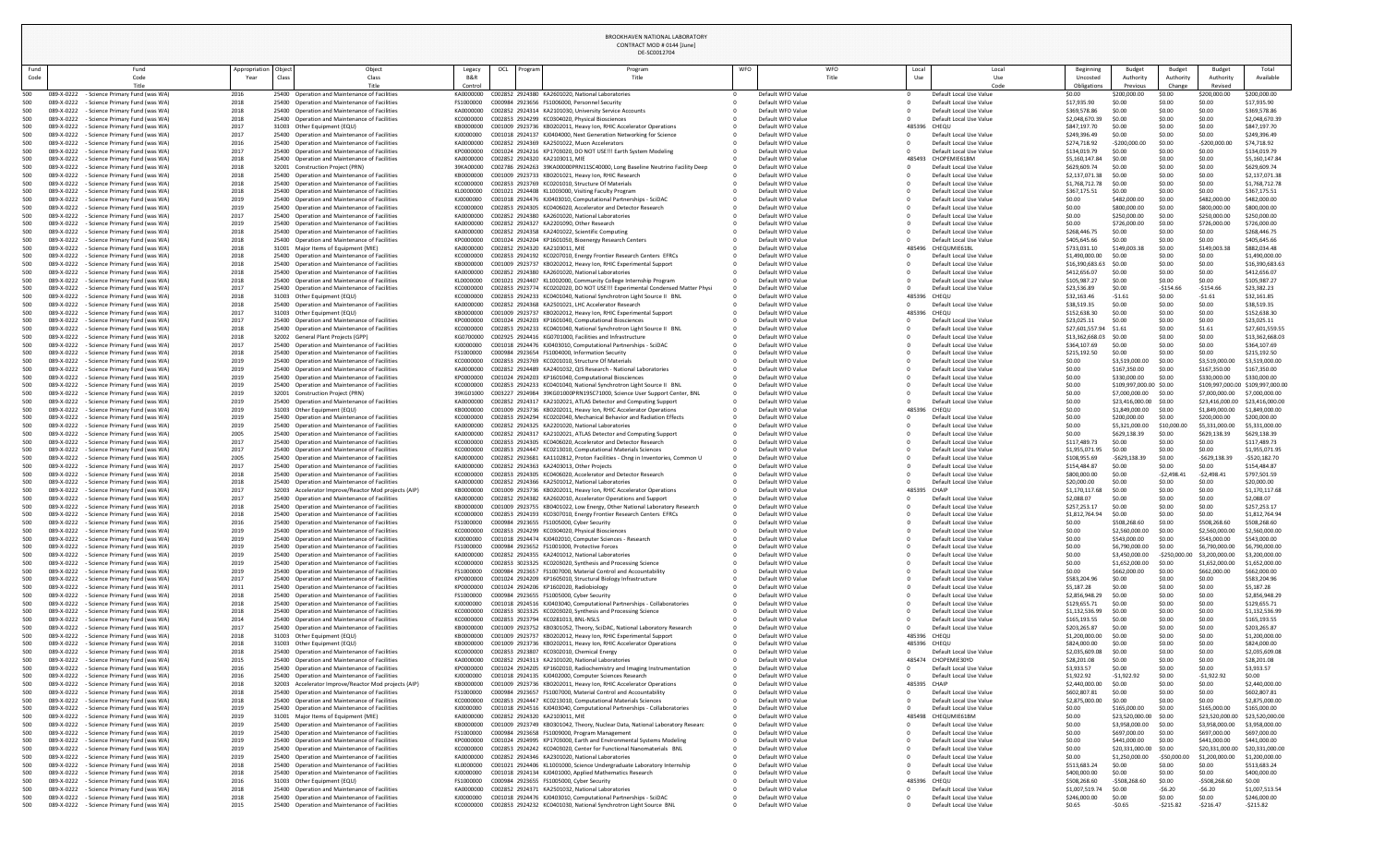## BROOKHAVEN NATIONAL LABORATORY CONTRACT MOD # 0144 [June]

|              |                          |                                                                              |                       |                        |                                                                                                       |                          |                                | DE-SC0012704                                                                                                                               |            |                                        |              |                                                    |                                                       |                                                 |                         |                                   |                                    |
|--------------|--------------------------|------------------------------------------------------------------------------|-----------------------|------------------------|-------------------------------------------------------------------------------------------------------|--------------------------|--------------------------------|--------------------------------------------------------------------------------------------------------------------------------------------|------------|----------------------------------------|--------------|----------------------------------------------------|-------------------------------------------------------|-------------------------------------------------|-------------------------|-----------------------------------|------------------------------------|
| Fund<br>Code |                          | Fund<br>Code                                                                 | Appropriation<br>Year | Object<br><b>Class</b> | Object<br>Class                                                                                       | Legacy<br><b>B&amp;R</b> | OCL<br>Prograi                 | Program<br>Title                                                                                                                           | <b>WFO</b> | <b>WFO</b><br>Title                    | Local<br>Use | Local<br>Use                                       | Beginning<br>Uncosted                                 | <b>Budget</b><br>Authority                      | Budget<br>Authority     | <b>Budget</b><br><b>Authority</b> | Total<br>Available                 |
|              |                          | Title                                                                        |                       |                        | Title                                                                                                 | Control                  |                                |                                                                                                                                            |            |                                        |              | Code                                               | Obligations                                           | Previous                                        | Change                  | Revised                           |                                    |
| 500<br>500   | 089-X-0222<br>089-X-0222 | - Science Primary Fund (was WA)<br>- Science Primary Fund (was WA)           | 2016<br>2018          |                        | 25400 Operation and Maintenance of Facilities<br>25400 Operation and Maintenance of Facilities        | KA0000000<br>FS1000000   |                                | C002852 2924380 KA2601020, National Laboratories<br>C000984 2923656 FS1006000, Personnel Security                                          |            | Default WFO Value<br>Default WFO Value |              | Default Local Use Value<br>Default Local Use Value | \$0.00<br>\$17,935.90                                 | \$200,000.00<br>\$0.00                          | \$0.00<br>\$0.00        | \$200,000.00<br>\$0.00            | \$200,000.00<br>\$17,935.90        |
| 500          | 089-X-0222               | - Science Primary Fund (was WA)                                              | 2018                  |                        | 25400 Operation and Maintenance of Facilities                                                         | KA0000000                |                                | C002852 2924314 KA2101030, University Service Accounts                                                                                     |            | Default WFO Value                      |              | Default Local Use Value                            | \$369,578.86                                          | \$0.00                                          | \$0.00                  | \$0.00                            | \$369,578.86                       |
| 500<br>500   | 089-X-0222<br>089-X-0222 | - Science Primary Fund (was WA)<br><b>Science Primary Fund (was WA)</b>      | 2018<br>2017          |                        | 25400 Operation and Maintenance of Facilities<br>31003 Other Equipment (EQU)                          | KC0000000<br>KB0000000   |                                | C002853 2924299 KC0304020, Physical Biosciences<br>C001009 2923736 KB0202011, Heavy Ion, RHIC Accelerator Operations                       |            | Default WFO Value<br>Default WFO Value | 485396 CHEQU | Default Local Use Value                            | \$2,048,670.3<br>\$847,197.70                         | \$0.00<br>\$0.00                                | \$0.00<br>\$0.00        | \$0.00<br>\$0.00                  | \$2,048,670.39<br>\$847,197.70     |
| 500          | 089-X-0222               | <b>Science Primary Fund (was WA)</b>                                         | 2017                  |                        | 25400 Operation and Maintenance of Facilities                                                         | KJ0000000                |                                | C001018 2924137 KJ0404000, Next Generation Networking for Science                                                                          |            | Default WFO Value                      |              | Default Local Use Value                            | \$249,396.49                                          | \$0.00                                          | \$0.00                  | \$0.00                            | \$249,396.49                       |
| 500          | 089-X-0222<br>089-X-0222 | <b>Science Primary Fund (was WA)</b>                                         | 2016                  |                        | 25400 Operation and Maintenance of Facilities                                                         | KA0000000                |                                | C002852 2924369 KA2501022, Muon Accelerators                                                                                               |            | Default WFO Value<br>Default WFO Value |              | Default Local Use Value                            | \$274,718.92                                          | $-5200,000.00$                                  | \$0.00                  | $-5200,000.00$                    | \$74,718.92                        |
| 500<br>500   | 089-X-0222               | <b>Science Primary Fund (was WA)</b><br><b>Science Primary Fund (was WA)</b> | 2017<br>2018          |                        | 25400 Operation and Maintenance of Facilities<br>25400 Operation and Maintenance of Facilities        | KP0000000<br>KA0000000   | C002852 2924320 KA2103011, MIE | C001024 2924216 KP1703020, DO NOT USE!!! Earth System Modeling                                                                             |            | Default WFO Value                      | 485493       | Default Local Use Value<br>CHOPEMIE61BM            | \$134,019.79<br>\$5,160,147.84                        | \$0.00<br>\$0.00                                | \$0.00<br>\$0.00        | \$0.00<br>\$0.00                  | \$134,019.79<br>\$5,160,147.84     |
| 500          | 089-X-0222               | - Science Primary Fund (was WA)                                              | 2018                  |                        | 32001 Construction Project (PRN)                                                                      | 39KA00000                |                                | C002786 2924263 39KA00000PRN11SC40000, Long Baseline Neutrino Facility Deep                                                                |            | Default WFO Value                      |              | Default Local Use Value                            | \$629,609.74                                          | \$0.00                                          | \$0.00                  | \$0.00                            | \$629,609.74                       |
| 500<br>500   | 089-X-0222<br>089-X-0222 | <b>Science Primary Fund (was WA)</b><br><b>Science Primary Fund (was WA)</b> | 2018<br>2018          |                        | 25400 Operation and Maintenance of Facilities<br>25400 Operation and Maintenance of Facilities        | KB0000000<br>KC0000000   |                                | C001009 2923733 KB0201021, Heavy Ion, RHIC Research<br>C002853 2923769 KC0201010, Structure Of Materials                                   |            | Default WFO Value<br>Default WFO Value |              | Default Local Use Value<br>Default Local Use Value | \$2,137,071.3<br>\$1,768,712.78                       | \$0.00<br>\$0.00                                | \$0.00<br>\$0.00        | \$0.00<br>\$0.00                  | \$2,137,071.38<br>\$1,768,712.78   |
| 500          | 089-X-0222               | <b>Science Primary Fund (was WA)</b>                                         | 2018                  |                        | 25400 Operation and Maintenance of Facilities                                                         | KL0000000                |                                | C001021 2924408 KL1003000, Visiting Faculty Program                                                                                        |            | Default WFO Value                      |              | Default Local Use Value                            | \$367,175.5                                           | \$0.00                                          | \$0.00                  | \$0.00                            | \$367,175.51                       |
| 500          | 089-X-0222               | <b>Science Primary Fund (was WA)</b>                                         | 2019                  |                        | 25400 Operation and Maintenance of Facilities                                                         | KJ0000000                |                                | C001018 2924476 KJ0403010, Computational Partnerships - SciDAC                                                                             |            | Default WFO Value                      |              | Default Local Use Value                            | \$0.00                                                | \$482,000.00                                    | \$0.00                  | \$482,000.0                       | \$482,000.00                       |
| 500<br>500   | 089-X-0222<br>089-X-0222 | <b>Science Primary Fund (was WA)</b><br><b>Science Primary Fund (was WA)</b> | 2019<br>2017          |                        | 25400 Operation and Maintenance of Facilities<br>25400 Operation and Maintenance of Facilities        | KC0000000<br>KA0000000   |                                | C002853 2924305 KC0406020, Accelerator and Detector Research<br>C002852 2924380 KA2601020, National Laboratories                           |            | Default WFO Value<br>Default WFO Value |              | Default Local Use Value<br>Default Local Use Value | \$0.00<br>\$0.00                                      | \$800,000.00<br>\$250,000.00                    | \$0.00<br>\$0.00        | \$800,000.00<br>\$250,000.00      | \$800,000.00<br>\$250,000.00       |
| 500          | 089-X-0222               | <b>Science Primary Fund (was WA)</b>                                         | 2019                  |                        | 25400 Operation and Maintenance of Facilities                                                         | KA0000000                |                                | C002852 2924327 KA2201090, Other Research                                                                                                  |            | Default WFO Value                      |              | Default Local Use Value                            | \$0.00                                                | \$726,000.00                                    | \$0.00                  | \$726,000.00                      | \$726,000.00                       |
| 500          | 089-X-0222               | - Science Primary Fund (was WA)                                              | 2018                  |                        | 25400 Operation and Maintenance of Facilities                                                         | KA0000000                |                                | C002852 2924358 KA2401022, Scientific Computing                                                                                            |            | Default WFO Value                      |              | Default Local Use Value                            | \$268,446.7                                           | \$0.00                                          | \$0.00                  | \$0.00<br>\$0.00                  | \$268,446.75                       |
| 500<br>500   | 089-X-0222<br>089-X-0222 | <b>Science Primary Fund (was WA)</b><br><b>Science Primary Fund (was WA)</b> | 2018<br>2018          |                        | 25400 Operation and Maintenance of Facilities<br>31001 Major Items of Equipment (MIE)                 | KP0000000<br>KA0000000   | C002852 2924320 KA2103011, MIE | C001024 2924204 KP1601050, Bioenergy Research Centers                                                                                      |            | Default WFO Value<br>Default WFO Value |              | Default Local Use Value<br>485496 CHEQUMIE61BL     | \$405,645.66<br>\$733,031.10                          | \$0.00<br>\$149,003.38                          | \$0.00<br>\$0.00        | \$149,003.                        | \$405,645.66<br>\$882,034.48       |
| 500          | 089-X-0222               | <b>Science Primary Fund (was WA)</b>                                         | 2018                  |                        | 25400 Operation and Maintenance of Facilities                                                         | KC000000C                |                                | C002853 2924192 KC0207010, Energy Frontier Research Centers EFRCs                                                                          |            | Default WFO Value                      |              | Default Local Use Value                            | \$1,490,000.00                                        | \$0.00                                          | \$0.00                  | \$0.00                            | \$1,490,000.00                     |
| 500<br>500   | 089-X-0222<br>089-X-0222 | <b>Science Primary Fund (was WA)</b><br><b>Science Primary Fund (was WA)</b> | 2018<br>2018          |                        | 25400 Operation and Maintenance of Facilities<br>25400 Operation and Maintenance of Facilities        | KB0000000<br>KA0000000   |                                | C001009 2923737 KB0202012, Heavy Ion, RHIC Experimental Support<br>C002852 2924380 KA2601020, National Laboratories                        |            | Default WFO Value<br>Default WFO Value |              | Default Local Use Value<br>Default Local Use Value | \$16,390,683.63 \$0.00<br>\$412,656.07                | \$0.00                                          | \$0.00<br>\$0.00        | \$0.00<br>\$0.00                  | \$16,390,683.63<br>\$412,656.07    |
| 500          | 089-X-0222               | <b>Science Primary Fund (was WA)</b>                                         | 2018                  |                        | 25400 Operation and Maintenance of Facilities                                                         | KL0000000                |                                | C001021 2924407 KL1002000, Community College Internship Program                                                                            |            | Default WFO Value                      |              | Default Local Use Value                            | \$105,987.27                                          | \$0.00                                          | \$0.00                  | \$0.00                            | \$105,987.27                       |
| 500          | 089-X-0222               | - Science Primary Fund (was WA)                                              | 2017                  |                        | 25400 Operation and Maintenance of Facilities                                                         | KC0000000                |                                | C002853 2923774 KC0202020, DO NOT USE!!! Experimental Condensed Matter Physi                                                               |            | Default WFO Value                      |              | Default Local Use Value                            | \$23,536.89                                           | \$0.00                                          | $-5154.66$              | $-$154.66$                        | \$23,382.23                        |
| 500          | 089-X-0222<br>089-X-0222 | - Science Primary Fund (was WA)<br><b>Science Primary Fund (was WA)</b>      | 2018<br>2018          |                        | 31003 Other Equipment (EQU)<br>25400 Operation and Maintenance of Facilities                          | KC0000000<br>KA0000000   |                                | C002853 2924233 KC0401040, National Synchrotron Light Source II BNL<br>C002852 2924368 KA2501021, LHC Accelerator Research                 |            | Default WFO Value<br>Default WFO Value | 485396 CHEQU | Default Local Use Value                            | \$32,163.46<br>\$38,519.35                            | $-51.61$<br>\$0.00                              | \$0.00<br>\$0.00        | $-51.61$<br>\$0.00                | \$32,161.85<br>\$38,519.35         |
| 500          | 089-X-0222               | <b>Science Primary Fund (was WA)</b>                                         | 2017                  |                        | 31003 Other Equipment (EQU)                                                                           | KB0000000                |                                | C001009 2923737 KB0202012, Heavy Ion, RHIC Experimental Support                                                                            |            | Default WFO Value                      | 485396 CHEQU |                                                    | \$152,638.3                                           | \$0.00                                          | \$0.00                  | \$0.00                            | \$152,638.30                       |
| 500          | 089-X-0222               | <b>Science Primary Fund (was WA)</b>                                         | 2017                  |                        | 25400 Operation and Maintenance of Facilities                                                         | KP0000000                |                                | C001024 2924203 KP1601040, Computational Biosciences                                                                                       |            | Default WFO Value                      |              | Default Local Use Value                            | \$23,025.1                                            | \$0.00                                          | \$0.00                  | \$0.00                            | \$23,025.11                        |
| 500<br>500   | 089-X-0222<br>089-X-0222 | <b>Science Primary Fund (was WA)</b><br><b>Science Primary Fund (was WA)</b> | 2018<br>2018          |                        | 25400 Operation and Maintenance of Facilities<br>32002 General Plant Projects (GPP)                   | KC0000000<br>KG0700000   |                                | C002853 2924233 KC0401040, National Synchrotron Light Source II BNL<br>C002925 2924416 KG0701000, Facilities and Infrastructure            |            | Default WFO Value<br>Default WFO Value |              | Default Local Use Value<br>Default Local Use Value | \$27,601,557.94 \$1.61<br>\$13,362,668.03 \$0.00      |                                                 | \$0.00<br>\$0.00        | \$1.61<br>\$0.00                  | \$27,601,559.55<br>\$13,362,668.03 |
| 500          | 089-X-0222               | <b>Science Primary Fund (was WA)</b>                                         | 2017                  |                        | 25400 Operation and Maintenance of Facilities                                                         | KJ0000000                |                                | C001018 2924476 KJ0403010, Computational Partnerships - SciDAC                                                                             |            | Default WFO Value                      |              | Default Local Use Value                            | \$364,107.69                                          | \$0.00                                          | \$0.00                  | \$0.00                            | \$364,107.69                       |
| 500          | 089-X-0222               | <b>Science Primary Fund (was WA)</b>                                         | 2018                  |                        | 25400 Operation and Maintenance of Facilities                                                         | FS1000000                |                                | C000984 2923654 FS1004000, Information Security                                                                                            |            | Default WFO Value                      |              | Default Local Use Value                            | \$215,192.50                                          | \$0.00                                          | \$0.00                  | \$0.00                            | \$215,192.50                       |
| 500<br>500   | 089-X-0222<br>089-X-0222 | <b>Science Primary Fund (was WA)</b><br><b>Science Primary Fund (was WA)</b> | 2019<br>2019          |                        | 25400 Operation and Maintenance of Facilities<br>25400 Operation and Maintenance of Facilities        | KC0000000<br>KA0000000   |                                | C002853 2923769 KC0201010, Structure Of Materials<br>C002852 2924489 KA2401032, QIS Research - National Laboratories                       |            | Default WFO Value<br>Default WFO Value |              | Default Local Use Value<br>Default Local Use Value | \$0.00<br>\$0.00                                      | \$3,519,000.00<br>\$167,350.00                  | \$0.00<br>\$0.00        | \$3,519,000.0<br>\$167,350.00     | \$3,519,000.00<br>\$167,350.00     |
| 500.         | 089-X-0222               | <b>Science Primary Fund (was WA)</b>                                         | 2019                  |                        | 25400 Operation and Maintenance of Facilities                                                         | KP0000000                |                                | C001024 2924203 KP1601040, Computational Biosciences                                                                                       |            | Default WFO Value                      |              | Default Local Use Value                            | \$0.00                                                | \$330,000.00                                    | \$0.00                  | \$330,000.00                      | \$330,000.00                       |
| 500          | 089-X-0222               | <b>Science Primary Fund (was WA)</b>                                         | 2019                  |                        | 25400 Operation and Maintenance of Facilities                                                         | KC0000000                |                                | C002853 2924233 KC0401040, National Synchrotron Light Source II BNL                                                                        |            | Default WFO Value                      |              | Default Local Use Value                            | \$0.00                                                | \$109,997,000.00 \$0.00                         |                         |                                   | \$109,997,000.00 \$109,997,000.00  |
| 500<br>500   | 089-X-0222<br>089-X-022. | <b>Science Primary Fund (was WA)</b><br><b>Science Primary Fund (was WA)</b> | 2019<br>2019          |                        | 32001 Construction Project (PRN)<br>25400 Operation and Maintenance of Facilities                     | 39KG01000<br>KA0000000   |                                | C003227 2924984 39KG01000PRN19SC71000, Science User Support Center, BNL<br>C002852 2924317 KA2102021, ATLAS Detector and Computing Support |            | Default WFO Value<br>Default WFO Value |              | Default Local Use Value<br>Default Local Use Value | \$0.00<br>\$0.00                                      | \$7,000,000.00 \$0.00<br>\$23,416,000.00 \$0.00 |                         | \$7,000,000.00<br>\$23,416,000.00 | \$7,000,000.00<br>\$23,416,000.00  |
| 500          | 089-X-0222               | - Science Primary Fund (was WA)                                              | 2019                  |                        | 31003 Other Equipment (EQU)                                                                           | KB0000000                |                                | C001009 2923736 KB0202011, Heavy Ion, RHIC Accelerator Operations                                                                          |            | Default WFO Value                      | 485396 CHEQU |                                                    | \$0.00                                                | \$1,849,000.00                                  | \$0.00                  | \$1,849,000.00                    | \$1,849,000.00                     |
| 500          | 089-X-0222               | - Science Primary Fund (was WA)                                              | 2019                  |                        | 25400 Operation and Maintenance of Facilities                                                         | KC0000000                |                                | C002853 2924294 KC0202040, Mechanical Behavior and Radiation Effects                                                                       |            | Default WFO Value                      |              | Default Local Use Value                            | \$0.00                                                | \$200,000.00                                    | \$0.00                  | \$200,000.00                      | \$200,000.00                       |
| 500<br>500   | 089-X-0222<br>089-X-0222 | <b>Science Primary Fund (was WA)</b><br><b>Science Primary Fund (was WA)</b> | 2019<br>2005          |                        | 25400 Operation and Maintenance of Facilities<br>25400 Operation and Maintenance of Facilities        | KA0000000<br>KA0000000   |                                | C002852 2924325 KA2201020, National Laboratories<br>C002852 2924317 KA2102021, ATLAS Detector and Computing Support                        |            | Default WFO Value<br>Default WFO Value |              | Default Local Use Value<br>Default Local Use Value | \$0.00<br>\$0.00                                      | \$5,321,000.00<br>\$629,138.39                  | \$10,000.<br>\$0.00     | \$5,331,000.00<br>\$629,138.39    | \$5,331,000.00<br>\$629,138.39     |
| 500          | 089-X-0222               | <b>Science Primary Fund (was WA)</b>                                         | 2017                  |                        | 25400 Operation and Maintenance of Facilities                                                         | KC0000000                |                                | C002853 2924305 KC0406020, Accelerator and Detector Research                                                                               |            | Default WFO Value                      |              | Default Local Use Value                            | \$117,489.7                                           | \$0.00                                          | \$0.00                  | \$0.00                            | \$117,489.73                       |
| 500          | 089-X-0222               | Science Primary Fund (was WA)                                                | 2017                  |                        | 25400 Operation and Maintenance of Facilities                                                         | KC0000000                |                                | C002853 2924447 KC0213010, Computational Materials Sciences                                                                                |            | Default WFO Value                      |              | Default Local Use Value                            | \$1,955,071.95                                        | \$0.00                                          | \$0.00                  | \$0.00                            | \$1,955,071.95                     |
| 500<br>500   | 089-X-0222<br>089-X-0222 | <b>Science Primary Fund (was WA)</b><br><b>Science Primary Fund (was WA)</b> | 2005<br>2017          |                        | 25400 Operation and Maintenance of Facilities<br>25400 Operation and Maintenance of Facilities        | KA0000000<br>KA0000000   |                                | C002852 2923681 KA1102812, Proton Facilities - Chng in Inventories, Common U<br>C002852 2924363 KA2403013, Other Projects                  |            | Default WFO Value<br>Default WFO Value |              | Default Local Use Value<br>Default Local Use Value | \$108,955.69<br>\$154,484.87                          | $-$ \$629,138.3<br>\$0.00                       | \$0.00<br>\$0.00        | $-$ \$629,138.<br>\$0.00          | -\$520,182.70<br>\$154,484.87      |
| 500          | 089-X-0222               | <b>Science Primary Fund (was WA)</b>                                         | 2018                  |                        | 25400 Operation and Maintenance of Facilities                                                         | KC0000000                |                                | C002853 2924305 KC0406020, Accelerator and Detector Research                                                                               |            | Default WFO Value                      |              | Default Local Use Value                            | \$800,000.00                                          | \$0.00                                          | $-52,498.4$             | -\$2,498.41                       | \$797,501.59                       |
| 500          | 089-X-0222               | <b>Science Primary Fund (was WA)</b>                                         | 2018                  |                        | 25400 Operation and Maintenance of Facilities                                                         | KA0000000                |                                | C002852 2924366 KA2501012, National Laboratories                                                                                           |            | Default WFO Value                      |              | Default Local Use Value                            | \$20,000.00                                           | \$0.00                                          | \$0.00                  | \$0.00                            | \$20,000.00                        |
| 500<br>500   | 089-X-0222<br>089-X-0222 | <b>Science Primary Fund (was WA)</b><br><b>Science Primary Fund (was WA)</b> | 2017<br>2017          |                        | 32003 Accelerator Improve/Reactor Mod projects (AIP)<br>25400 Operation and Maintenance of Facilities | KB0000000<br>KA0000000   |                                | C001009 2923736 KB0202011, Heavy Ion, RHIC Accelerator Operations<br>C002852 2924382 KA2602010, Accelerator Operations and Support         |            | Default WFO Value<br>Default WFO Value | 485395 CHAIP | Default Local Use Value                            | \$1,170,117.6<br>\$2,088.07                           | \$0.00<br>\$0.00                                | \$0.00<br>\$0.00        | \$0.00<br>\$0.00                  | \$1,170,117.68<br>\$2,088.07       |
| 500          | 089-X-0222               | <b>Science Primary Fund (was WA)</b>                                         | 2018                  |                        | 25400 Operation and Maintenance of Facilities                                                         | KB0000000                |                                | C001009 2923755 KB0401022, Low Energy, Other National Laboratory Research                                                                  |            | Default WFO Value                      |              | Default Local Use Value                            | \$257,253.17                                          | \$0.00                                          | \$0.00                  | \$0.00                            | \$257,253.17                       |
| 500          | 089-X-0222               | - Science Primary Fund (was WA)                                              | 2018                  |                        | 25400 Operation and Maintenance of Facilities<br>25400 Operation and Maintenance of Facilities        | KC0000000                |                                | C002853 2924193 KC0307010, Energy Frontier Research Centers EFRCs<br>C000984 2923655 FS1005000, Cyber Security                             |            | Default WFO Value<br>Default WFO Value |              | Default Local Use Value                            | \$1,812,764.94                                        | \$0.00                                          | \$0.00<br>\$0.00        | \$0.00<br>\$508,268.60            | \$1,812,764.94<br>\$508,268.60     |
| 500<br>00    | 089-X-0222<br>089-X-0222 | <b>Science Primary Fund (was WA)</b><br>- Science Primary Fund (was WA)      | 2016<br>2019          |                        | 25400 Operation and Maintenance of Facilities                                                         | FS1000000<br>KC000000C   |                                | C002853 2924299 KC0304020, Physical Biosciences                                                                                            |            | Default WFO Value                      |              | Default Local Use Value<br>Default Local Use Value | \$0.00<br>\$0.00                                      | \$508,268.60<br>\$2,560,000.00                  | \$0.00                  | \$2,560,000.0                     | \$2,560,000.00                     |
| 500          | 089-X-0222               | - Science Primary Fund (was WA)                                              | 2019                  |                        | 25400 Operation and Maintenance of Facilities                                                         | KJ0000000                |                                | C001018 2924474 KJ0402010, Computer Sciences - Research                                                                                    |            | Default WFO Value                      |              | Default Local Use Value                            | \$0.00                                                | \$543,000.00                                    | \$0.00                  | \$543,000.00                      | \$543,000.00                       |
| 500          | 089-X-0222               | - Science Primary Fund (was WA)<br>- Science Primary Fund (was WA)           | 2019<br>2019          |                        | 25400 Operation and Maintenance of Facilities<br>25400 Operation and Maintenance of Facilities        | FS1000000                |                                | C000984 2923652 FS1001000, Protective Forces<br>C002852 2924355 KA2401012, National Laboratories                                           |            | Default WFO Value<br>Default WFO Value |              | Default Local Use Value<br>Default Local Use Value | \$0.00                                                | \$6,790,000.00<br>\$3,450,000.00                | \$0.00<br>-\$250,000.00 | \$6,790,000.00<br>\$3,200,000.00  | \$6,790,000.00<br>\$3,200,000.00   |
| 500          | 089-X-0222               | - Science Primary Fund (was WA)                                              | 2019                  |                        | 25400 Operation and Maintenance of Facilities                                                         | KC0000000                |                                | C002853 3023325 KC0203020, Synthesis and Processing Science                                                                                |            | Default WFO Value                      |              | Default Local Use Value                            | \$0.00                                                | \$1,652,000.00                                  | \$0.00                  | \$1,652,000.00                    | \$1,652,000.00                     |
|              | 089-X-0222               | <b>Science Primary Fund (was WA)</b>                                         | 2019                  |                        | 25400 Operation and Maintenance of Facilities                                                         | FS1000000                |                                | C000984 2923657 FS1007000, Material Control and Accountability                                                                             |            | Default WFO Value                      |              | Default Local Use Value                            | \$0.00                                                | \$662,000.00                                    | \$0.00                  | \$662,000.00                      | \$662,000.00                       |
| 500          | 089-X-0222<br>089-X-0222 | - Science Primary Fund (was WA)<br><b>Science Primary Fund (was WA)</b>      | 2017<br>2011          |                        | 25400 Operation and Maintenance of Facilities<br>25400 Operation and Maintenance of Facilities        | KP0000000<br>KP0000000   |                                | C001024 2924209 KP1605010, Structural Biology Infrastructure<br>C001024 2924206 KP1602020, Radiobiology                                    |            | Default WFO Value<br>Default WFO Value |              | Default Local Use Value<br>Default Local Use Value | \$583,204.96<br>\$5,187.28                            | \$0.00<br>\$0.00                                | \$0.00<br>\$0.00        | \$0.00<br>\$0.00                  | \$583,204.96<br>\$5,187.28         |
| 00           | 089-X-0222               | - Science Primary Fund (was WA)                                              | 2018                  |                        | 25400 Operation and Maintenance of Facilities                                                         | FS1000000                |                                | C000984 2923655 FS1005000, Cyber Security                                                                                                  |            | Default WFO Value                      |              | Default Local Use Value                            | \$2,856,948.2                                         | \$0.00                                          | \$0.00                  | \$0.00                            | \$2,856,948.29                     |
| 500          | 089-X-0222               | · Science Primary Fund (was WA)                                              | 2018                  |                        | 25400 Operation and Maintenance of Facilities                                                         | KJ0000000                |                                | C001018 2924516 KJ0403040, Computational Partnerships - Collaboratories                                                                    |            | Default WFO Value                      |              | Default Local Use Value                            | \$129,655.71                                          | \$0.00                                          | \$0.00                  | \$0.00                            | \$129,655.71                       |
| 500<br>500   | 089-X-0222<br>089-X-0222 | <b>Science Primary Fund (was WA)</b><br><b>Science Primary Fund (was WA)</b> | 2018<br>2014          |                        | 25400 Operation and Maintenance of Facilities<br>25400 Operation and Maintenance of Facilities        | KC0000000<br>KC0000000   |                                | C002853 3023325 KC0203020, Synthesis and Processing Science<br>C002853 2923794 KC0281013, BNL-NSLS                                         |            | Default WFO Value<br>Default WFO Value |              | Default Local Use Value<br>Default Local Use Value | \$1,132,536.99<br>\$165,193.55                        | \$0.00<br>\$0.00                                | \$0.00<br>\$0.00        | \$0.00<br>\$0.00                  | \$1,132,536.99<br>\$165,193.55     |
|              | 089-X-0222               | <b>Science Primary Fund (was WA)</b>                                         | 2017                  |                        | 25400 Operation and Maintenance of Facilities                                                         | KB0000000                |                                | C001009 2923752 KB0301052, Theory, SciDAC, National Laboratory Research                                                                    |            | Default WFO Value                      |              | Default Local Use Value                            | \$203,265.87                                          | \$0.00                                          | \$0.00                  | \$0.00                            | \$203,265.87                       |
| 00           | 089-X-0222               | <b>Science Primary Fund (was WA)</b>                                         | 2018                  |                        | 31003 Other Equipment (EQU)                                                                           | KB0000000                |                                | C001009 2923737 KB0202012, Heavy Ion, RHIC Experimental Support                                                                            |            | Default WFO Value                      | 485396 CHEQU |                                                    | \$1,200,000.00                                        | \$0.00                                          | \$0.00                  | \$0.00                            | \$1,200,000.00                     |
| 500<br>500   | 089-X-0222<br>089-X-0222 | - Science Primary Fund (was WA)<br>- Science Primary Fund (was WA)           | 2018<br>2018          |                        | 31003 Other Equipment (EQU)<br>25400 Operation and Maintenance of Facilities                          | KB0000000<br>KC0000000   |                                | C001009 2923736 KB0202011, Heavy Ion, RHIC Accelerator Operations<br>C002853 2923807 KC0302010, Chemical Energy                            |            | Default WFO Value<br>Default WFO Value | 485396 CHEQU | Default Local Use Value                            | \$824,000.00<br>\$2,035,609.0                         | \$0.00<br>\$0.00                                | \$0.00<br>\$0.00        | \$0.00<br>\$0.00                  | \$824,000.00<br>\$2,035,609.08     |
| 500          | 089-X-0222               | - Science Primary Fund (was WA)                                              | 2015                  |                        | 25400 Operation and Maintenance of Facilities                                                         | KA0000000                |                                | C002852 2924313 KA2101020, National Laboratories                                                                                           |            | Default WFO Value                      |              | 485474 CHOPEMIE30YD                                | \$28,201.08                                           | \$0.00                                          | \$0.00                  | \$0.00                            | \$28,201.08                        |
| 500          | 089-X-0222               | <b>Science Primary Fund (was WA)</b>                                         | 2016                  |                        | 25400 Operation and Maintenance of Facilities                                                         | KP0000000                |                                | C001024 2924205 KP1602010, Radiochemistry and Imaging Instrumentation                                                                      |            | Default WFO Value                      |              | Default Local Use Value                            | \$3,933.57                                            | \$0.00                                          | \$0.00                  | \$0.00                            | \$3,933.57<br>\$0.00               |
| 00<br>500    | 089-X-0222<br>089-X-0222 | Science Primary Fund (was WA)<br><b>Science Primary Fund (was WA)</b>        | 2016<br>2018          |                        | 25400 Operation and Maintenance of Facilities<br>32003 Accelerator Improve/Reactor Mod projects (AIP) | KJ0000000<br>KB0000000   |                                | C001018 2924135 KJ0402000, Computer Sciences Research<br>C001009 2923736 KB0202011, Heavy Ion, RHIC Accelerator Operations                 |            | Default WFO Value<br>Default WFO Value | 485395 CHAIP | Default Local Use Value                            | \$1,922.92<br>\$2,440,000.0                           | -\$1,922.92<br>\$0.00                           | \$0.00<br>\$0.00        | $-$1,922.9$<br>\$0.00             | \$2,440,000.00                     |
| 500          | 089-X-0222               | <b>Science Primary Fund (was WA)</b>                                         | 2018                  |                        | 25400 Operation and Maintenance of Facilities                                                         | FS1000000                |                                | C000984 2923657 FS1007000, Material Control and Accountability                                                                             |            | Default WFO Value                      |              | Default Local Use Value                            | \$602,807.81                                          | \$0.00                                          | \$0.00                  | \$0.00                            | \$602,807.81                       |
|              | 089-X-0222               | <b>Science Primary Fund (was WA)</b>                                         | 2018                  |                        | 25400 Operation and Maintenance of Facilities                                                         | KC0000000                |                                | C002853 2924447 KC0213010, Computational Materials Sciences                                                                                |            | Default WFO Value                      |              | Default Local Use Value                            | \$2,875,000.0                                         | \$0.00                                          | \$0.00                  | \$0.00                            | \$2,875,000.00                     |
| 500<br>500   | 089-X-0222<br>089-X-0222 | - Science Primary Fund (was WA)<br><b>Science Primary Fund (was WA)</b>      | 2019<br>2019          |                        | 25400 Operation and Maintenance of Facilities<br>31001 Major Items of Equipment (MIE)                 | KJ0000000<br>KA0000000   | C002852 2924320 KA2103011, MIE | C001018 2924516 KJ0403040, Computational Partnerships - Collaboratories                                                                    |            | Default WFO Value<br>Default WFO Value |              | Default Local Use Value<br>485498 CHEQUMIE61BM     | \$0.00<br>\$0.00                                      | \$165,000.00<br>\$23,520,000.00 \$0.00          | \$0.00                  | \$165,000.00<br>\$23,520,000.0    | \$165,000.00<br>\$23,520,000.00    |
| 500          | 089-X-0222               | <b>Science Primary Fund (was WA)</b>                                         | 2019                  |                        | 25400 Operation and Maintenance of Facilities                                                         | KB0000000                |                                | C001009 2923749 KB0301042, Theory, Nuclear Data, National Laboratory Researc                                                               |            | Default WFO Value                      |              | Default Local Use Value                            | \$0.00                                                | \$3,958,000.00                                  | \$0.00                  | \$3,958,000.00                    | \$3,958,000.00                     |
| 500          | 089-X-0222               | <b>Science Primary Fund (was WA)</b>                                         | 2019                  |                        | 25400 Operation and Maintenance of Facilities                                                         | FS1000000                |                                | C000984 2923658 FS1009000, Program Management                                                                                              |            | Default WFO Value                      |              | Default Local Use Value                            | \$0.00                                                | \$697,000.00                                    | \$0.00                  | \$697,000.00                      | \$697,000.00                       |
| 500<br>500   | 089-X-0222<br>089-X-0222 | <b>Science Primary Fund (was WA)</b><br><b>Science Primary Fund (was WA)</b> | 2019<br>2019          |                        | 25400 Operation and Maintenance of Facilities<br>25400 Operation and Maintenance of Facilities        | KP0000000<br>KC0000000   |                                | C001024 2924995 KP1703000, Earth and Environmental Systems Modeling<br>C002853 2924242 KC0403020, Center for Functional Nanomaterials BNL  |            | Default WFO Value<br>Default WFO Value |              | Default Local Use Value<br>Default Local Use Value | \$0.00<br>\$0.00                                      | \$441,000.00<br>\$20,331,000.00                 | \$0.00<br>\$0.00        | \$441,000.00<br>\$20,331,000.0    | \$441,000.00<br>\$20,331,000.00    |
|              | 089-X-0222               | Science Primary Fund (was WA)                                                | 2019                  |                        | 25400 Operation and Maintenance of Facilities                                                         | KA0000000                |                                | C002852 2924346 KA2301020, National Laboratories                                                                                           |            | Default WFO Value                      |              | Default Local Use Value                            | \$0.00                                                | \$1,250,000.00                                  | -\$50,000.              | \$1,200,000.00                    | \$1,200,000.00                     |
| 500          | 089-X-0222               | <b>Science Primary Fund (was WA)</b>                                         | 2018                  |                        | 25400 Operation and Maintenance of Facilities                                                         | KL0000000                |                                | C001021 2924406 KL1001000, Science Undergraduate Laboratory Internship                                                                     |            | Default WFO Value                      |              | Default Local Use Value                            | \$513,683.2                                           | \$0.00                                          | \$0.00                  | \$0.00                            | \$513,683.24                       |
| 500<br>500   | 089-X-0222<br>089-X-0222 | - Science Primary Fund (was WA)<br><b>Science Primary Fund (was WA)</b>      | 2018<br>2016          |                        | 25400 Operation and Maintenance of Facilities<br>31003 Other Equipment (EQU)                          | KJ0000000<br>FS1000000   |                                | C001018 2924134 KJ0401000, Applied Mathematics Research<br>C000984 2923655 FS1005000, Cyber Security                                       |            | Default WFO Value<br>Default WFO Value | 485396 CHEQU | Default Local Use Value                            | \$400,000.00<br>\$508,268.60                          | \$0.00<br>-\$508,268.60                         | \$0.00<br>\$0.00        | \$0.00<br>-\$508,268.6'           | \$400,000.00<br>\$0.00             |
| 500          | 089-X-0222               | - Science Primary Fund (was WA)                                              | 2018                  |                        | 25400 Operation and Maintenance of Facilities                                                         | KA0000000                |                                | C002852 2924371 KA2501032, National Laboratories                                                                                           |            | Default WFO Value                      |              | Default Local Use Value                            | \$1,007,519.74                                        | \$0.00                                          | $-56.20$                | $-56.20$                          | \$1,007,513.54                     |
| 500          | 089-X-0222               | <b>Science Primary Fund (was WA)</b>                                         | 2018                  |                        | 25400 Operation and Maintenance of Facilities                                                         | KJ0000000                |                                | C001018 2924476 KJ0403010, Computational Partnerships - SciDAC                                                                             |            | Default WFO Value                      |              | Default Local Use Value                            | \$246,000.00                                          | \$0.00                                          | \$0.00                  | \$0.00                            | \$246,000.00                       |
|              |                          | 500 089-X-0222 - Science Primary Fund (was WA)                               |                       |                        | 2015 25400 Operation and Maintenance of Facilities                                                    |                          |                                | KC0000000 C002853 2924232 KC0401030, National Synchrotron Light Source BNL                                                                 |            | 0 Default WFO Value                    |              | 0 Default Local Use Value                          | $$0.65$ - $$0.65$ - $$215.82$ - $$216.47$ - $$215.82$ |                                                 |                         |                                   |                                    |